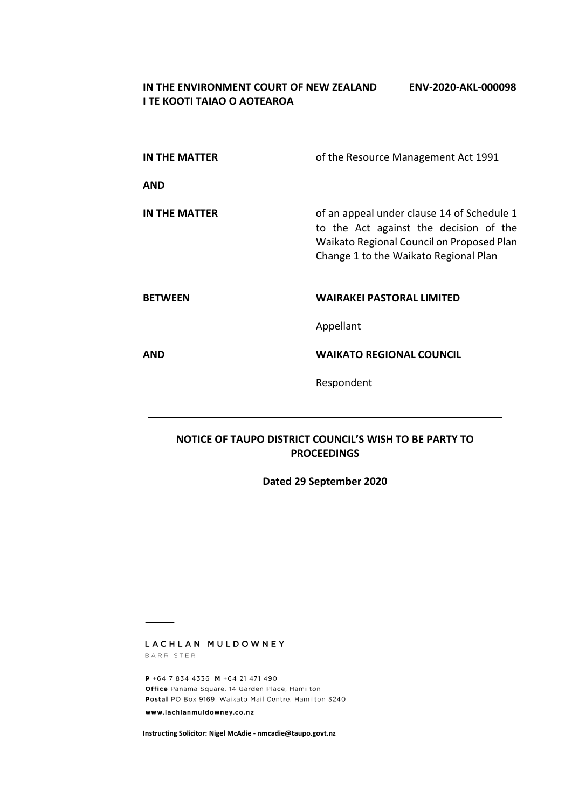### **IN THE ENVIRONMENT COURT OF NEW ZEALAND ENV-2020-AKL-000098 I TE KOOTI TAIAO O AOTEAROA**

| IN THE MATTER        | of the Resource Management Act 1991                                                                                                                                        |
|----------------------|----------------------------------------------------------------------------------------------------------------------------------------------------------------------------|
| <b>AND</b>           |                                                                                                                                                                            |
| <b>IN THE MATTER</b> | of an appeal under clause 14 of Schedule 1<br>to the Act against the decision of the<br>Waikato Regional Council on Proposed Plan<br>Change 1 to the Waikato Regional Plan |
| <b>BETWEEN</b>       | <b>WAIRAKEI PASTORAL LIMITED</b>                                                                                                                                           |
|                      | Appellant                                                                                                                                                                  |
| <b>AND</b>           | <b>WAIKATO REGIONAL COUNCIL</b>                                                                                                                                            |
|                      | Respondent                                                                                                                                                                 |

## **NOTICE OF TAUPO DISTRICT COUNCIL'S WISH TO BE PARTY TO PROCEEDINGS**

# **Dated 29 September 2020**

LACHLAN MULDOWNEY BARRISTER

P +64 7 834 4336 M +64 21 471 490 Office Panama Square, 14 Garden Place, Hamilton Postal PO Box 9169, Waikato Mail Centre, Hamilton 3240 www.lachlanmuldowney.co.nz

**Instructing Solicitor: Nigel McAdie - nmcadie@taupo.govt.nz**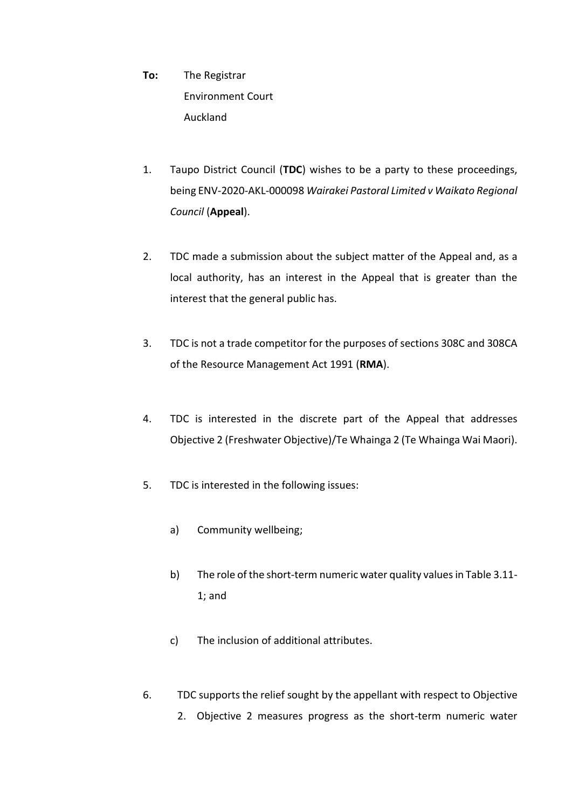- **To:** The Registrar Environment Court Auckland
- 1. Taupo District Council (**TDC**) wishes to be a party to these proceedings, being ENV-2020-AKL-000098 *Wairakei Pastoral Limited v Waikato Regional Council* (**Appeal**).
- 2. TDC made a submission about the subject matter of the Appeal and, as a local authority, has an interest in the Appeal that is greater than the interest that the general public has.
- 3. TDC is not a trade competitor for the purposes of sections 308C and 308CA of the Resource Management Act 1991 (**RMA**).
- 4. TDC is interested in the discrete part of the Appeal that addresses Objective 2 (Freshwater Objective)/Te Whainga 2 (Te Whainga Wai Maori).
- 5. TDC is interested in the following issues:
	- a) Community wellbeing;
	- b) The role of the short-term numeric water quality values in Table 3.11- 1; and
	- c) The inclusion of additional attributes.
- 6. TDC supports the relief sought by the appellant with respect to Objective
	- 2. Objective 2 measures progress as the short-term numeric water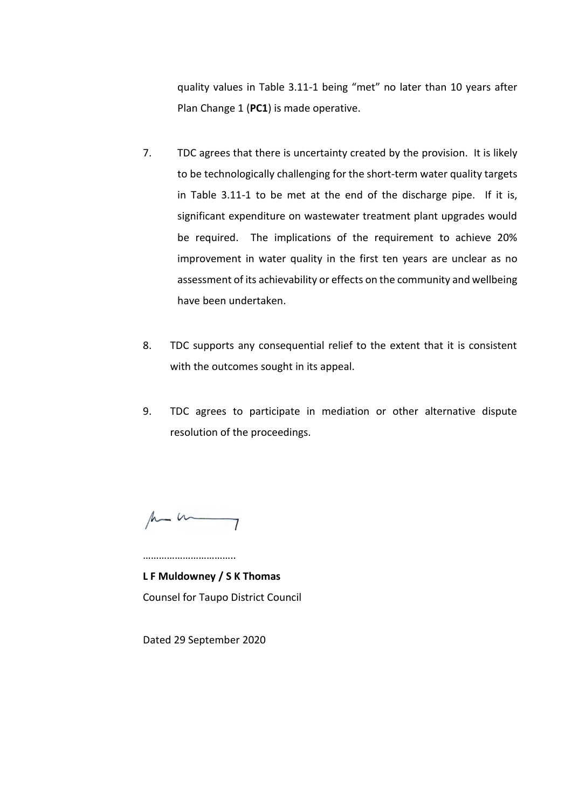quality values in Table 3.11-1 being "met" no later than 10 years after Plan Change 1 (**PC1**) is made operative.

- 7. TDC agrees that there is uncertainty created by the provision. It is likely to be technologically challenging for the short-term water quality targets in Table 3.11-1 to be met at the end of the discharge pipe. If it is, significant expenditure on wastewater treatment plant upgrades would be required. The implications of the requirement to achieve 20% improvement in water quality in the first ten years are unclear as no assessment of its achievability or effects on the community and wellbeing have been undertaken.
- 8. TDC supports any consequential relief to the extent that it is consistent with the outcomes sought in its appeal.
- 9. TDC agrees to participate in mediation or other alternative dispute resolution of the proceedings.

 $\mu$  -  $\mu$ 

………………………………

**L F Muldowney / S K Thomas** Counsel for Taupo District Council

Dated 29 September 2020